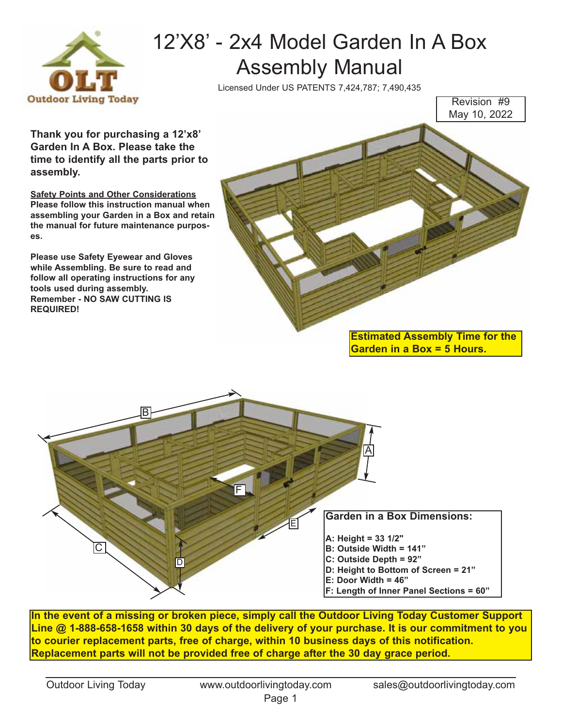

## 12'X8' - 2x4 Model Garden In A Box Assembly Manual

Licensed Under US PATENTS 7,424,787; 7,490,435

Revision #9 May 10, 2022

**Thank you for purchasing a 12'x8' Garden In A Box. Please take the time to identify all the parts prior to assembly.** 

**Safety Points and Other Considerations Please follow this instruction manual when assembling your Garden in a Box and retain the manual for future maintenance purposes.** 

**Please use Safety Eyewear and Gloves while Assembling. Be sure to read and follow all operating instructions for any tools used during assembly. Remember - NO SAW CUTTING IS REQUIRED!**



**Estimated Assembly Time for the Garden in a Box = 5 Hours.**



**In the event of a missing or broken piece, simply call the Outdoor Living Today Customer Support Line @ 1-888-658-1658 within 30 days of the delivery of your purchase. It is our commitment to you to courier replacement parts, free of charge, within 10 business days of this notification. Replacement parts will not be provided free of charge after the 30 day grace period.**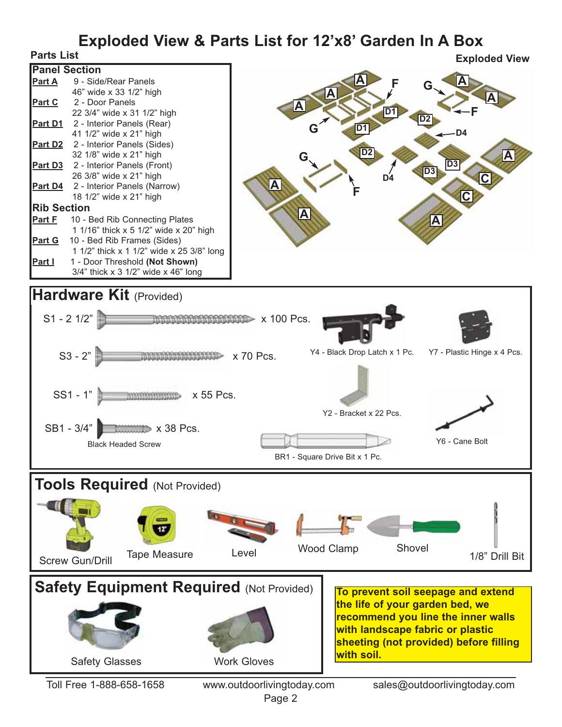# **Exploded View & Parts List for 12'x8' Garden In A Box**<br>Explo

| <b>Panel Section</b> |                                            |  |
|----------------------|--------------------------------------------|--|
|                      | <b>Part A</b> 9 - Side/Rear Panels         |  |
|                      | 46" wide x 33 1/2" high                    |  |
|                      | Part C 2 - Door Panels                     |  |
|                      | 22 3/4" wide x 31 1/2" high                |  |
|                      | <b>Part D1</b> 2 - Interior Panels (Rear)  |  |
|                      | 41 1/2" wide x 21" high                    |  |
|                      | <b>Part D2</b> 2 - Interior Panels (Sides) |  |
|                      | 32 1/8" wide x 21" high                    |  |
|                      | <b>Part D3</b> 2 - Interior Panels (Front) |  |
|                      | 26 3/8" wide x 21" high                    |  |
|                      | Part D4 2 - Interior Panels (Narrow)       |  |
|                      | 18 1/2" wide x 21" high                    |  |
| <b>Rib Section</b>   |                                            |  |
| <u>Part F</u>        | 10 - Bed Rib Connecting Plates             |  |
|                      | 1 1/16" thick x 5 1/2" wide x 20" high     |  |
|                      | Part G 10 - Bed Rib Frames (Sides)         |  |
|                      | 1 1/2" thick x 1 1/2" wide x 25 3/8" long  |  |
| <u>Part I</u>        | 1 - Door Threshold (Not Shown)             |  |
|                      | $3/4$ " thick x 3 $1/2$ " wide x 46" long  |  |





Safety Glasses Work Gloves **Safety Equipment Required (Not Provided) To prevent soil seepage and extend the life of your garden bed, we recommend you line the inner walls with landscape fabric or plastic sheeting (not provided) before filling with soil.** Toll Free 1-888-658-1658 www.outdoorlivingtoday.com sales@outdoorlivingtoday.com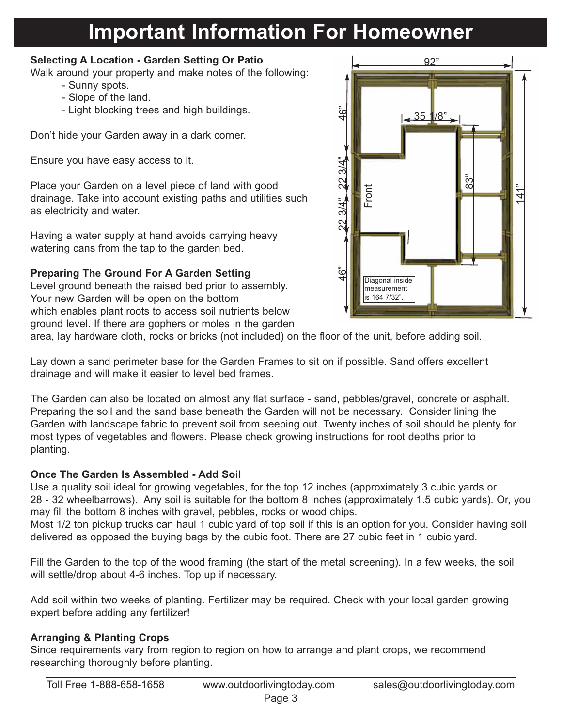### **Important Information For Homeowner**

#### **Selecting A Location - Garden Setting Or Patio**

Walk around your property and make notes of the following:

- Sunny spots.
- Slope of the land.
- Light blocking trees and high buildings.

Don't hide your Garden away in a dark corner.

Ensure you have easy access to it.

Place your Garden on a level piece of land with good drainage. Take into account existing paths and utilities such as electricity and water.

Having a water supply at hand avoids carrying heavy watering cans from the tap to the garden bed.

#### **Preparing The Ground For A Garden Setting**

Level ground beneath the raised bed prior to assembly. Your new Garden will be open on the bottom which enables plant roots to access soil nutrients below ground level. If there are gophers or moles in the garden



area, lay hardware cloth, rocks or bricks (not included) on the floor of the unit, before adding soil.

Lay down a sand perimeter base for the Garden Frames to sit on if possible. Sand offers excellent drainage and will make it easier to level bed frames.

The Garden can also be located on almost any flat surface - sand, pebbles/gravel, concrete or asphalt. Preparing the soil and the sand base beneath the Garden will not be necessary. Consider lining the Garden with landscape fabric to prevent soil from seeping out. Twenty inches of soil should be plenty for most types of vegetables and flowers. Please check growing instructions for root depths prior to planting.

#### **Once The Garden Is Assembled - Add Soil**

Use a quality soil ideal for growing vegetables, for the top 12 inches (approximately 3 cubic yards or 28 - 32 wheelbarrows). Any soil is suitable for the bottom 8 inches (approximately 1.5 cubic yards). Or, you may fill the bottom 8 inches with gravel, pebbles, rocks or wood chips.

Most 1/2 ton pickup trucks can haul 1 cubic yard of top soil if this is an option for you. Consider having soil delivered as opposed the buying bags by the cubic foot. There are 27 cubic feet in 1 cubic yard.

Fill the Garden to the top of the wood framing (the start of the metal screening). In a few weeks, the soil will settle/drop about 4-6 inches. Top up if necessary.

Add soil within two weeks of planting. Fertilizer may be required. Check with your local garden growing expert before adding any fertilizer!

#### **Arranging & Planting Crops**

Since requirements vary from region to region on how to arrange and plant crops, we recommend researching thoroughly before planting.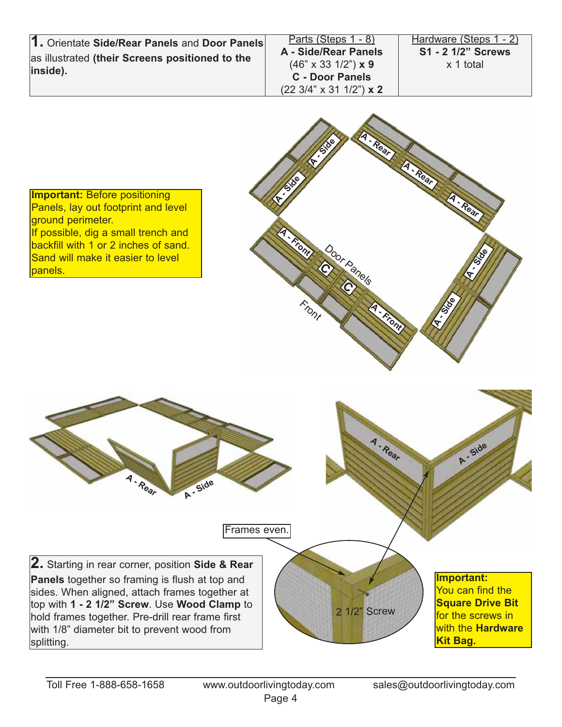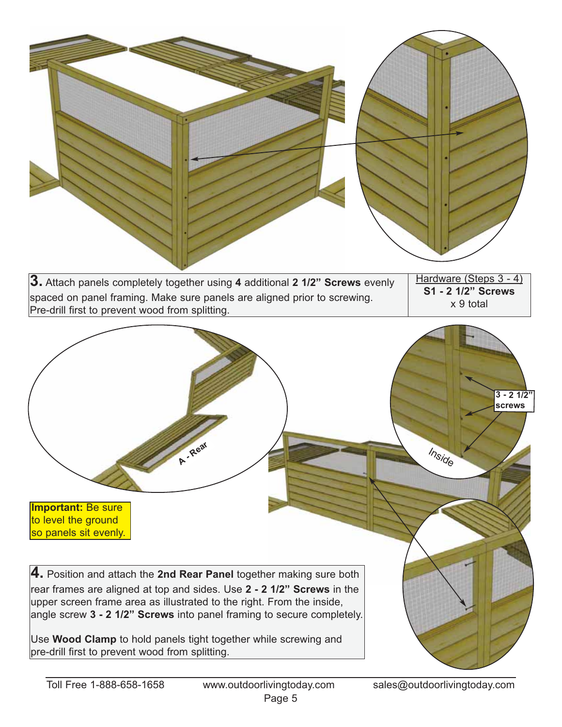

| 3. Attach panels completely together using 4 additional 2 1/2" Screws evenly                                                | Hardware (Steps 3 - 4)          |  |
|-----------------------------------------------------------------------------------------------------------------------------|---------------------------------|--|
| spaced on panel framing. Make sure panels are aligned prior to screwing.<br>Pre-drill first to prevent wood from splitting. | S1 - 2 1/2" Screws<br>x 9 total |  |

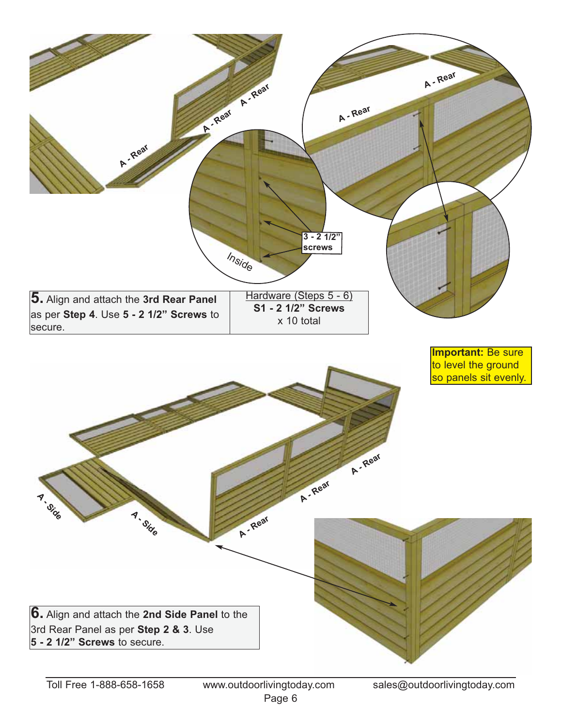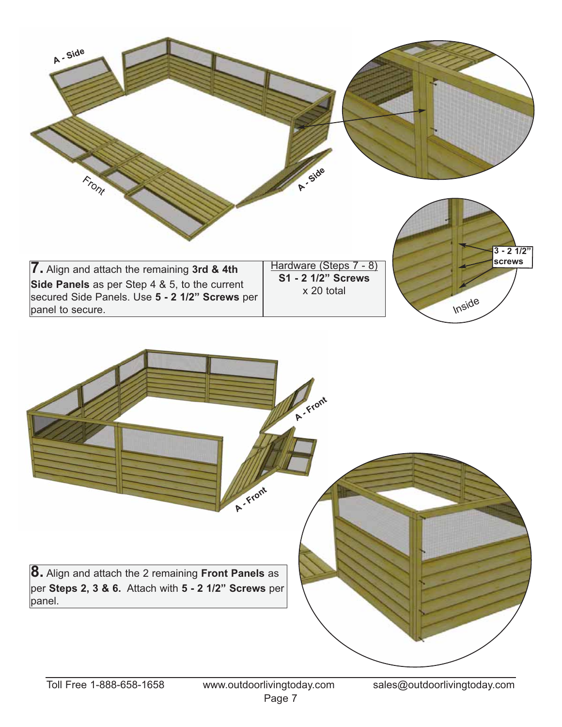

**A - Front 8.** Align and attach the 2 remaining **Front Panels** as per **Steps 2, 3 & 6.** Attach with **5 - 2 1/2" Screws** per panel. **A - Front**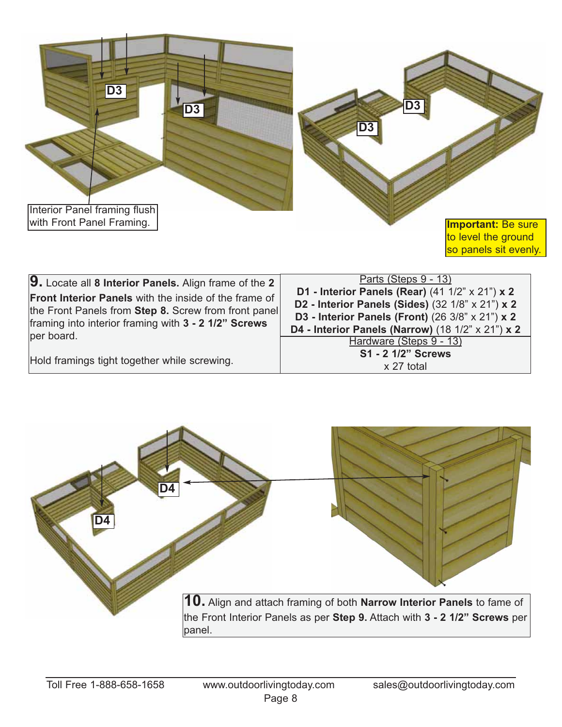

| 9. Locate all 8 Interior Panels. Align frame of the 2        | Parts (Steps 9 - 13)                                         |
|--------------------------------------------------------------|--------------------------------------------------------------|
| <b>Front Interior Panels</b> with the inside of the frame of | <b>D1 - Interior Panels (Rear)</b> (41 $1/2$ " x $21$ ") x 2 |
| the Front Panels from Step 8. Screw from front panel         | D2 - Interior Panels (Sides) (32 1/8" x 21") x 2             |
| framing into interior framing with 3 - 2 1/2" Screws         | D3 - Interior Panels (Front) (26 3/8" x 21") x 2             |
| per board.                                                   | D4 - Interior Panels (Narrow) (18 1/2" x 21") x 2            |
| Hold framings tight together while screwing.                 | Hardware (Steps 9 - 13)<br>S1 - 2 1/2" Screws<br>x 27 total  |

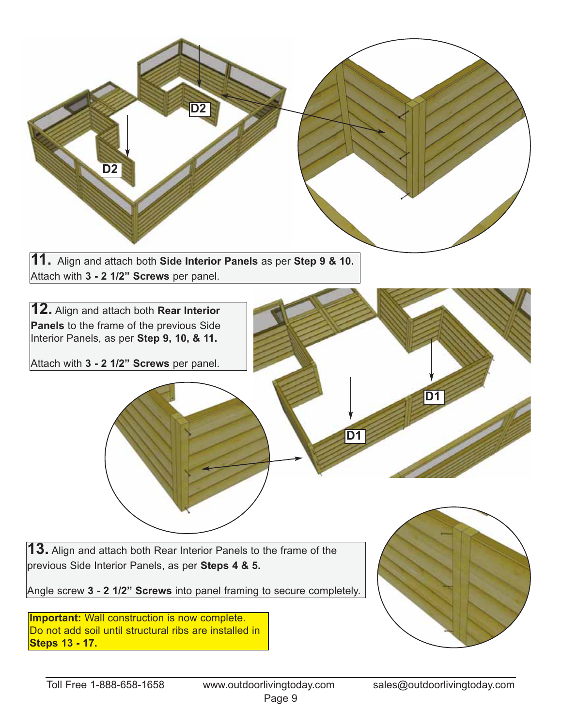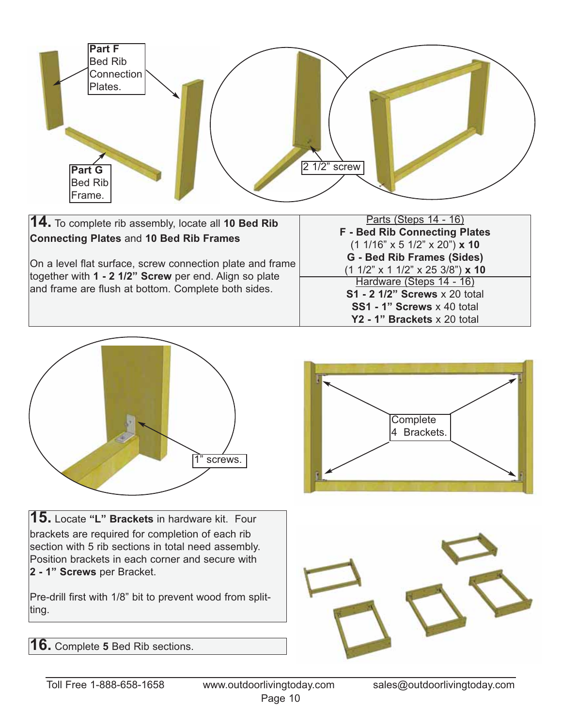



**15.** Locate **"L" Brackets** in hardware kit. Four brackets are required for completion of each rib section with 5 rib sections in total need assembly. Position brackets in each corner and secure with **2 - 1" Screws** per Bracket.

Pre-drill first with 1/8" bit to prevent wood from splitting.

**Complete** 4 Brackets.



**16.** Complete **5** Bed Rib sections.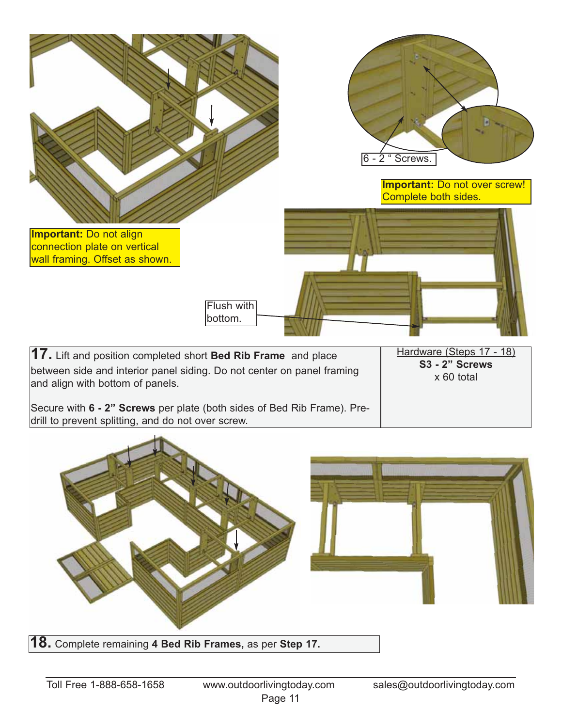

**18.** Complete remaining **<sup>4</sup> Bed Rib Frames,** as per **Step 17.**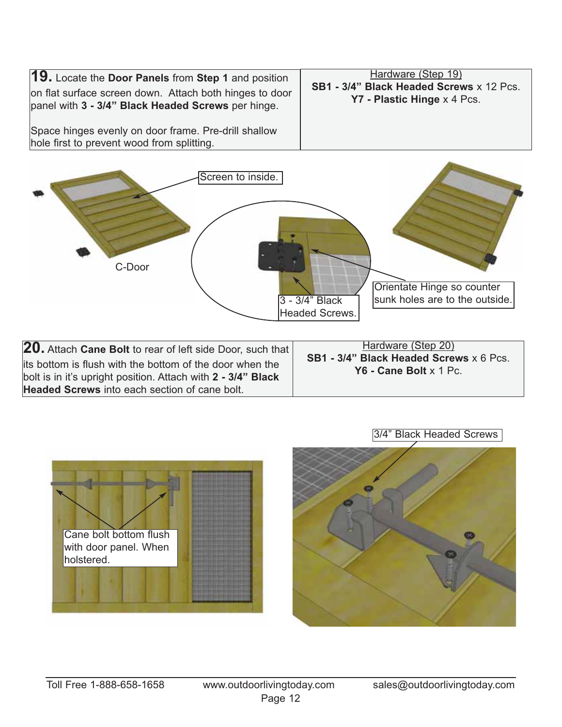



| 20. Attach Cane Bolt to rear of left side Door, such that                                                                | Hardware (Step 20)<br>SB1 - 3/4" Black Headed Screws x 6 Pcs.<br>Y6 - Cane Bolt $x$ 1 Pc. |
|--------------------------------------------------------------------------------------------------------------------------|-------------------------------------------------------------------------------------------|
| its bottom is flush with the bottom of the door when the<br>bolt is in it's upright position. Attach with 2 - 3/4" Black |                                                                                           |
| <b>Headed Screws</b> into each section of cane bolt.                                                                     |                                                                                           |





3/4" Black Headed Screws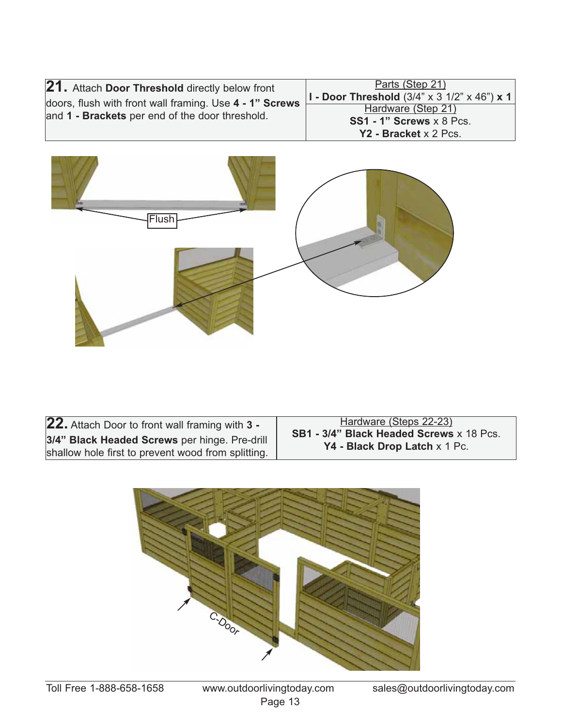| 21. Attach Door Threshold directly below front                                                             | Parts (Step 21)<br>$ I$ - Door Threshold (3/4" x 3 1/2" x 46") x 1 $ $ |
|------------------------------------------------------------------------------------------------------------|------------------------------------------------------------------------|
| doors, flush with front wall framing. Use 4 - 1" Screws<br>and 1 - Brackets per end of the door threshold. | Hardware (Step 21)<br>$SS1 - 1$ " Screws $x \, 8$ Pcs.                 |
|                                                                                                            | Y2 - Bracket x 2 Pcs.                                                  |



**22.** Attach Door to front wall framing with **3 - 3/4" Black Headed Screws** per hinge. Pre-drill shallow hole first to prevent wood from splitting.

Hardware (Steps 22-23) **SB1 - 3/4" Black Headed Screws** x 18 Pcs. **Y4 - Black Drop Latch** x 1 Pc.

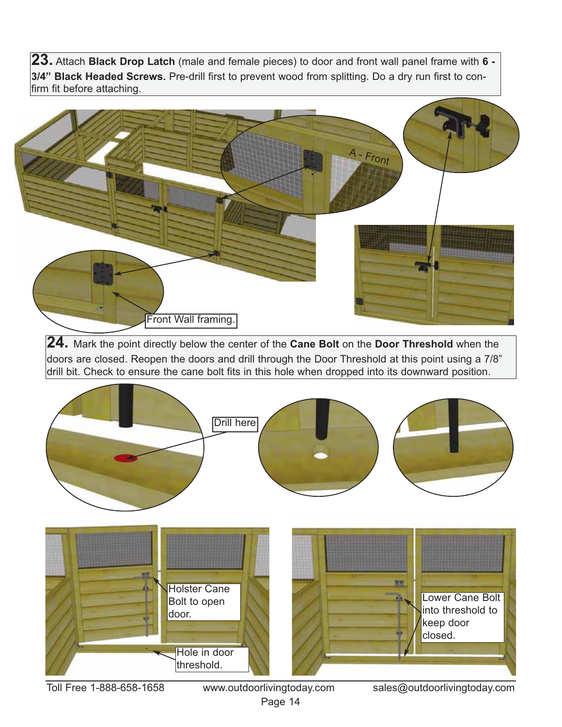**23.** Attach **Black Drop Latch** (male and female pieces) to door and front wall panel frame with **6 - 3/4" Black Headed Screws.** Pre-drill first to prevent wood from splitting. Do a dry run first to confirm fit before attaching.



**24.** Mark the point directly below the center of the **Cane Bolt** on the **Door Threshold** when the doors are closed. Reopen the doors and drill through the Door Threshold at this point using a 7/8" drill bit. Check to ensure the cane bolt fits in this hole when dropped into its downward position.



Page 14

Toll Free 1-888-658-1658 www.outdoorlivingtoday.com sales@outdoorlivingtoday.com